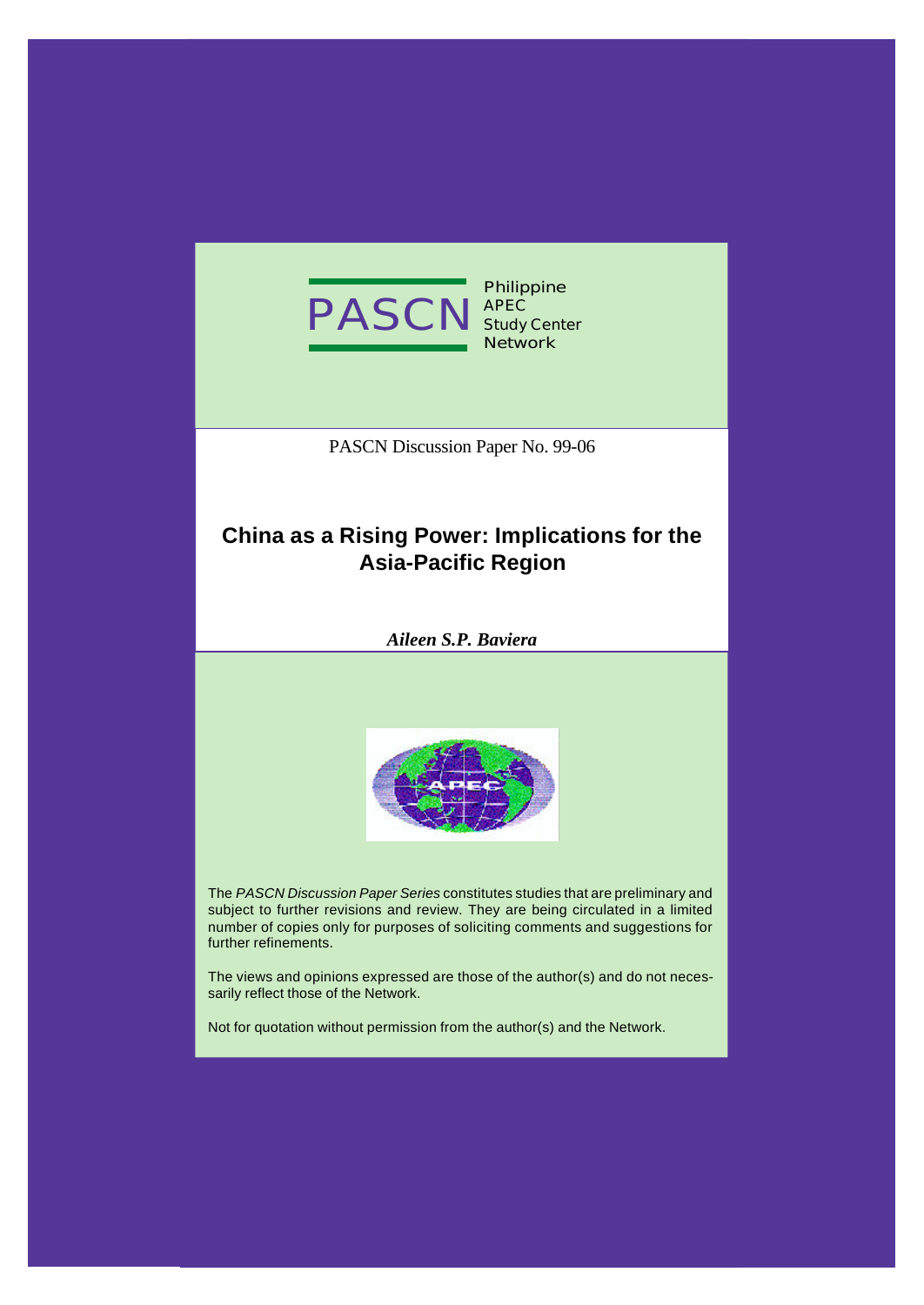

**Philippine APEC Study Center Network**

PASCN Discussion Paper No. 99-06

## **China as a Rising Power: Implications for the Asia-Pacific Region**

*Aileen S.P. Baviera*



The *PASCN Discussion Paper Series* constitutes studies that are preliminary and subject to further revisions and review. They are being circulated in a limited number of copies only for purposes of soliciting comments and suggestions for further refinements.

The views and opinions expressed are those of the author(s) and do not necessarily reflect those of the Network.

Not for quotation without permission from the author(s) and the Network.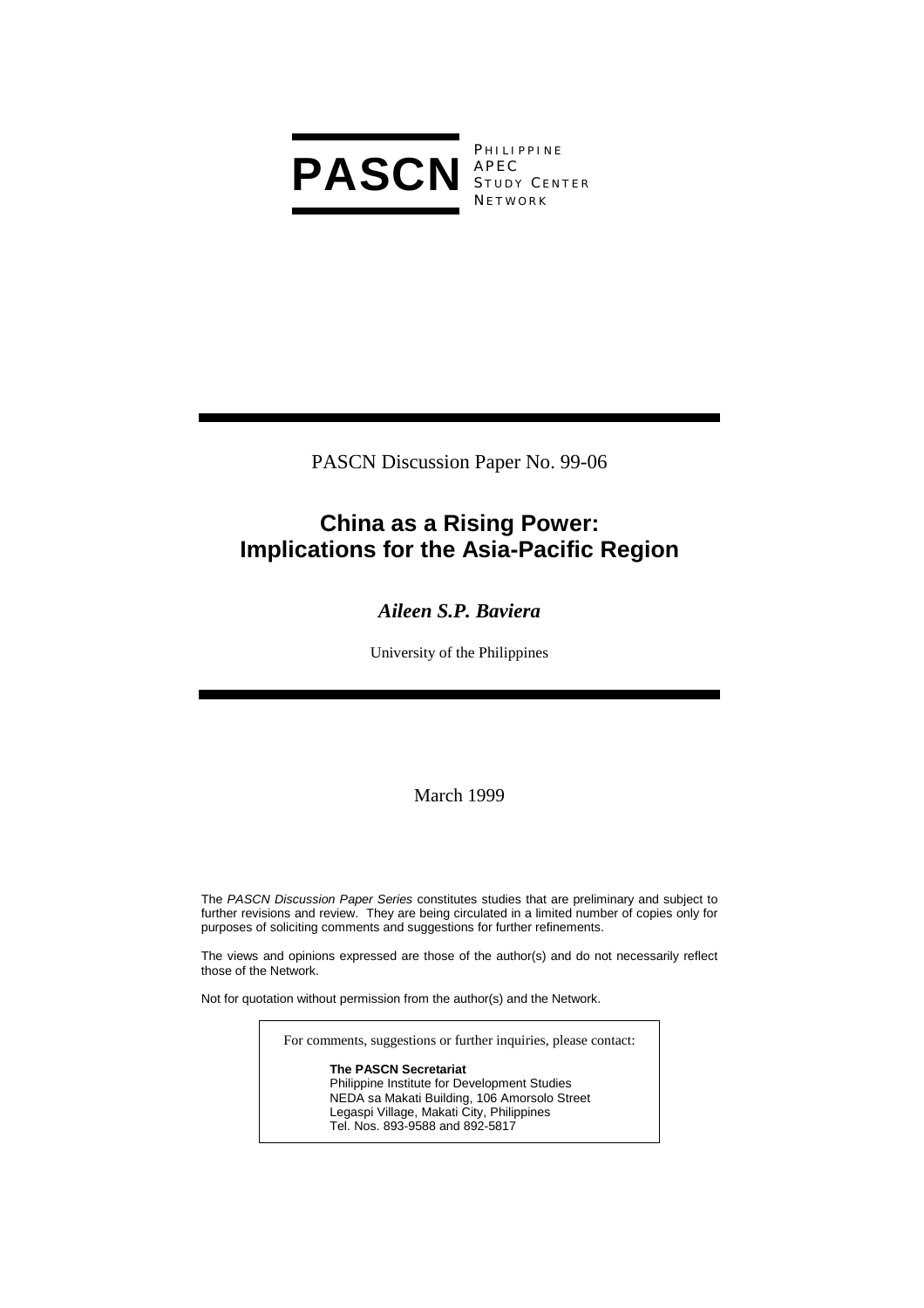

**PHILIPPINE** S TUDY C ENTER **NETWORK** 

PASCN Discussion Paper No. 99-06

## **China as a Rising Power: Implications for the Asia-Pacific Region**

## *Aileen S.P. Baviera*

University of the Philippines

March 1999

The *PASCN Discussion Paper Series* constitutes studies that are preliminary and subject to further revisions and review. They are being circulated in a limited number of copies only for purposes of soliciting comments and suggestions for further refinements.

The views and opinions expressed are those of the author(s) and do not necessarily reflect those of the Network.

Not for quotation without permission from the author(s) and the Network.

For comments, suggestions or further inquiries, please contact:

**The PASCN Secretariat** Philippine Institute for Development Studies NEDA sa Makati Building, 106 Amorsolo Street Legaspi Village, Makati City, Philippines Tel. Nos. 893-9588 and 892-5817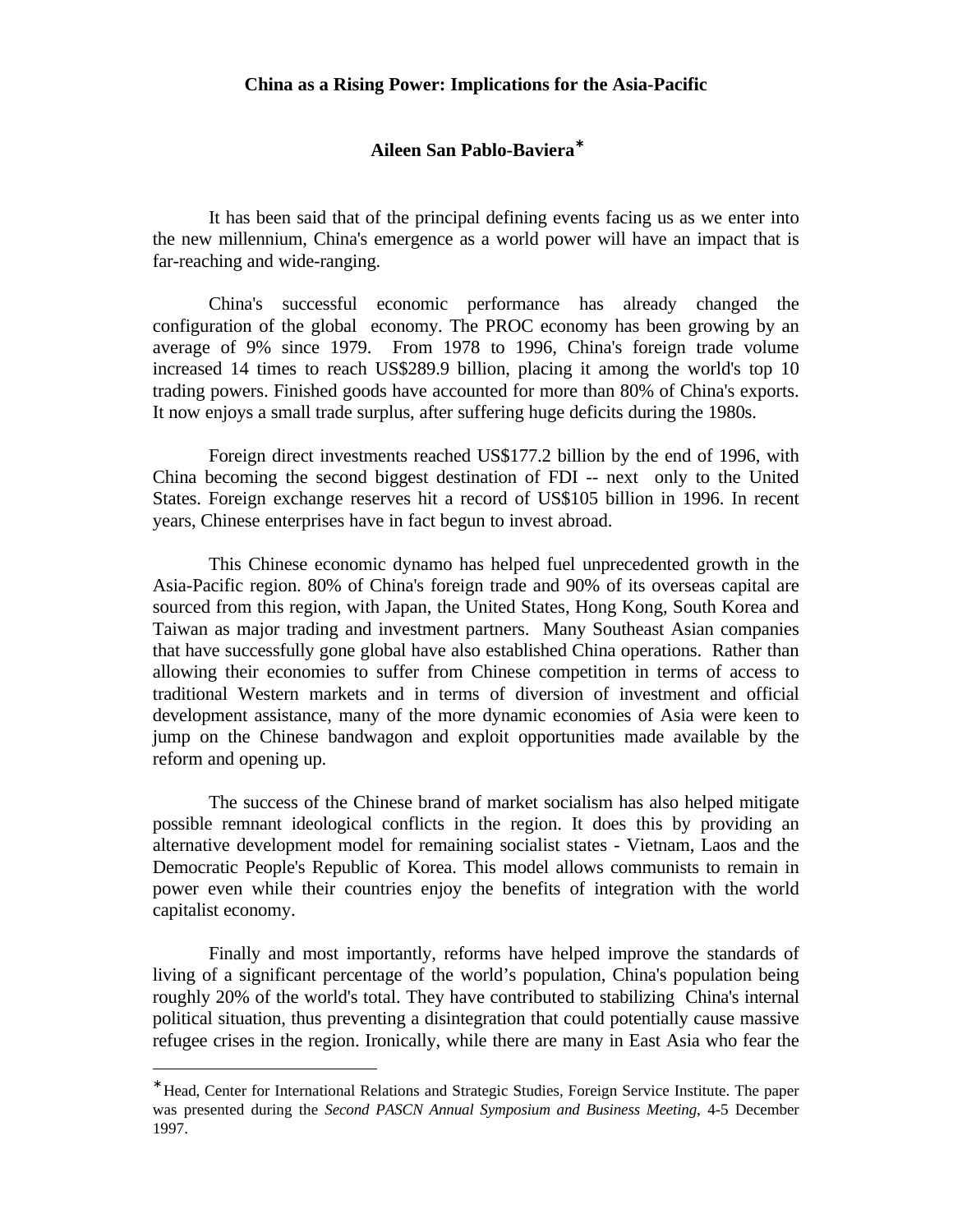## **Aileen San Pablo-Baviera**<sup>∗</sup>

It has been said that of the principal defining events facing us as we enter into the new millennium, China's emergence as a world power will have an impact that is far-reaching and wide-ranging.

China's successful economic performance has already changed the configuration of the global economy. The PROC economy has been growing by an average of 9% since 1979. From 1978 to 1996, China's foreign trade volume increased 14 times to reach US\$289.9 billion, placing it among the world's top 10 trading powers. Finished goods have accounted for more than 80% of China's exports. It now enjoys a small trade surplus, after suffering huge deficits during the 1980s.

Foreign direct investments reached US\$177.2 billion by the end of 1996, with China becoming the second biggest destination of FDI -- next only to the United States. Foreign exchange reserves hit a record of US\$105 billion in 1996. In recent years, Chinese enterprises have in fact begun to invest abroad.

This Chinese economic dynamo has helped fuel unprecedented growth in the Asia-Pacific region. 80% of China's foreign trade and 90% of its overseas capital are sourced from this region, with Japan, the United States, Hong Kong, South Korea and Taiwan as major trading and investment partners. Many Southeast Asian companies that have successfully gone global have also established China operations. Rather than allowing their economies to suffer from Chinese competition in terms of access to traditional Western markets and in terms of diversion of investment and official development assistance, many of the more dynamic economies of Asia were keen to jump on the Chinese bandwagon and exploit opportunities made available by the reform and opening up.

The success of the Chinese brand of market socialism has also helped mitigate possible remnant ideological conflicts in the region. It does this by providing an alternative development model for remaining socialist states - Vietnam, Laos and the Democratic People's Republic of Korea. This model allows communists to remain in power even while their countries enjoy the benefits of integration with the world capitalist economy.

Finally and most importantly, reforms have helped improve the standards of living of a significant percentage of the world's population, China's population being roughly 20% of the world's total. They have contributed to stabilizing China's internal political situation, thus preventing a disintegration that could potentially cause massive refugee crises in the region. Ironically, while there are many in East Asia who fear the

<u>.</u>

<sup>∗</sup> Head, Center for International Relations and Strategic Studies, Foreign Service Institute. The paper was presented during the *Second PASCN Annual Symposium and Business Meeting*, 4-5 December 1997.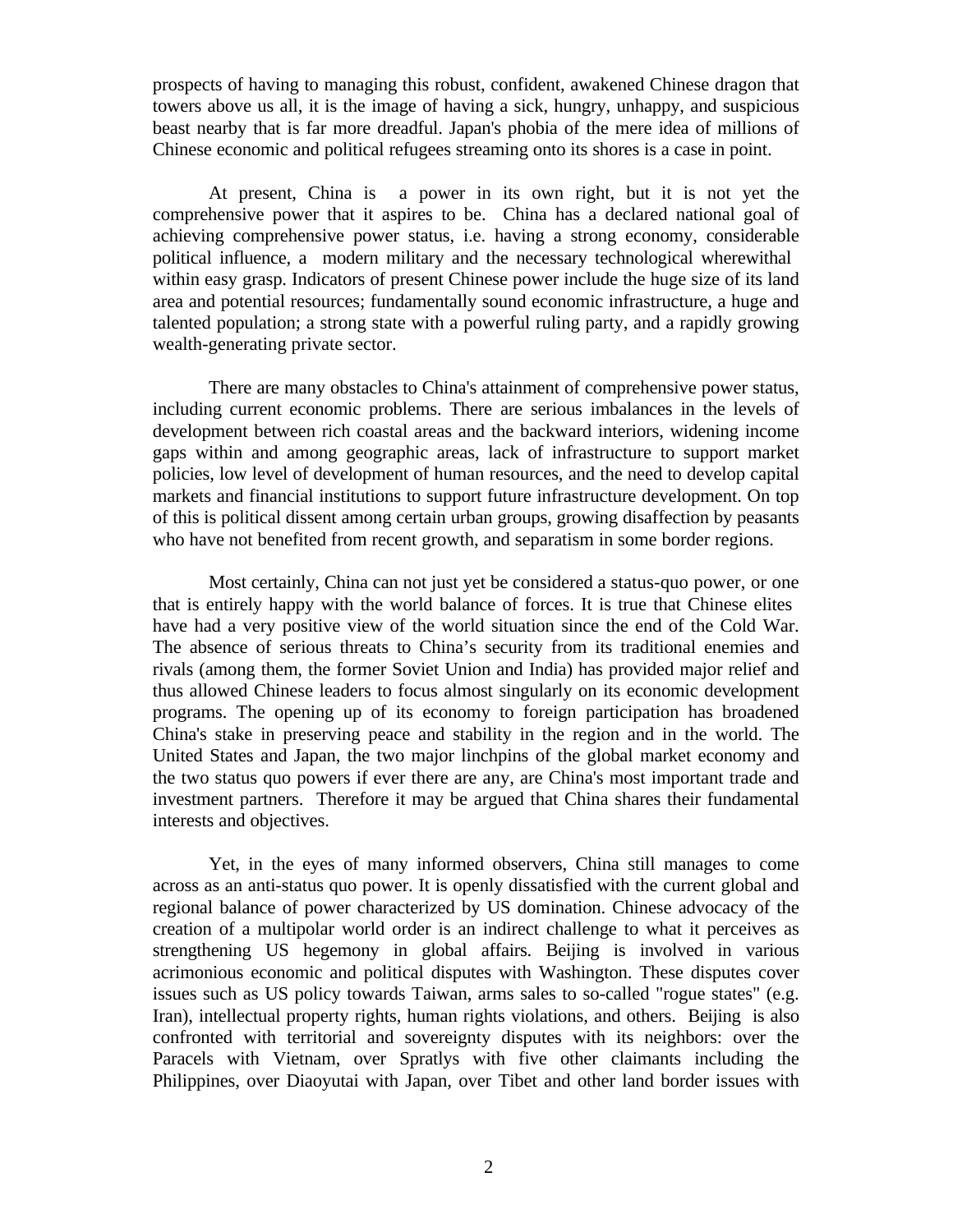prospects of having to managing this robust, confident, awakened Chinese dragon that towers above us all, it is the image of having a sick, hungry, unhappy, and suspicious beast nearby that is far more dreadful. Japan's phobia of the mere idea of millions of Chinese economic and political refugees streaming onto its shores is a case in point.

At present, China is a power in its own right, but it is not yet the comprehensive power that it aspires to be. China has a declared national goal of achieving comprehensive power status, i.e. having a strong economy, considerable political influence, a modern military and the necessary technological wherewithal within easy grasp. Indicators of present Chinese power include the huge size of its land area and potential resources; fundamentally sound economic infrastructure, a huge and talented population; a strong state with a powerful ruling party, and a rapidly growing wealth-generating private sector.

There are many obstacles to China's attainment of comprehensive power status, including current economic problems. There are serious imbalances in the levels of development between rich coastal areas and the backward interiors, widening income gaps within and among geographic areas, lack of infrastructure to support market policies, low level of development of human resources, and the need to develop capital markets and financial institutions to support future infrastructure development. On top of this is political dissent among certain urban groups, growing disaffection by peasants who have not benefited from recent growth, and separatism in some border regions.

Most certainly, China can not just yet be considered a status-quo power, or one that is entirely happy with the world balance of forces. It is true that Chinese elites have had a very positive view of the world situation since the end of the Cold War. The absence of serious threats to China's security from its traditional enemies and rivals (among them, the former Soviet Union and India) has provided major relief and thus allowed Chinese leaders to focus almost singularly on its economic development programs. The opening up of its economy to foreign participation has broadened China's stake in preserving peace and stability in the region and in the world. The United States and Japan, the two major linchpins of the global market economy and the two status quo powers if ever there are any, are China's most important trade and investment partners. Therefore it may be argued that China shares their fundamental interests and objectives.

Yet, in the eyes of many informed observers, China still manages to come across as an anti-status quo power. It is openly dissatisfied with the current global and regional balance of power characterized by US domination. Chinese advocacy of the creation of a multipolar world order is an indirect challenge to what it perceives as strengthening US hegemony in global affairs. Beijing is involved in various acrimonious economic and political disputes with Washington. These disputes cover issues such as US policy towards Taiwan, arms sales to so-called "rogue states" (e.g. Iran), intellectual property rights, human rights violations, and others. Beijing is also confronted with territorial and sovereignty disputes with its neighbors: over the Paracels with Vietnam, over Spratlys with five other claimants including the Philippines, over Diaoyutai with Japan, over Tibet and other land border issues with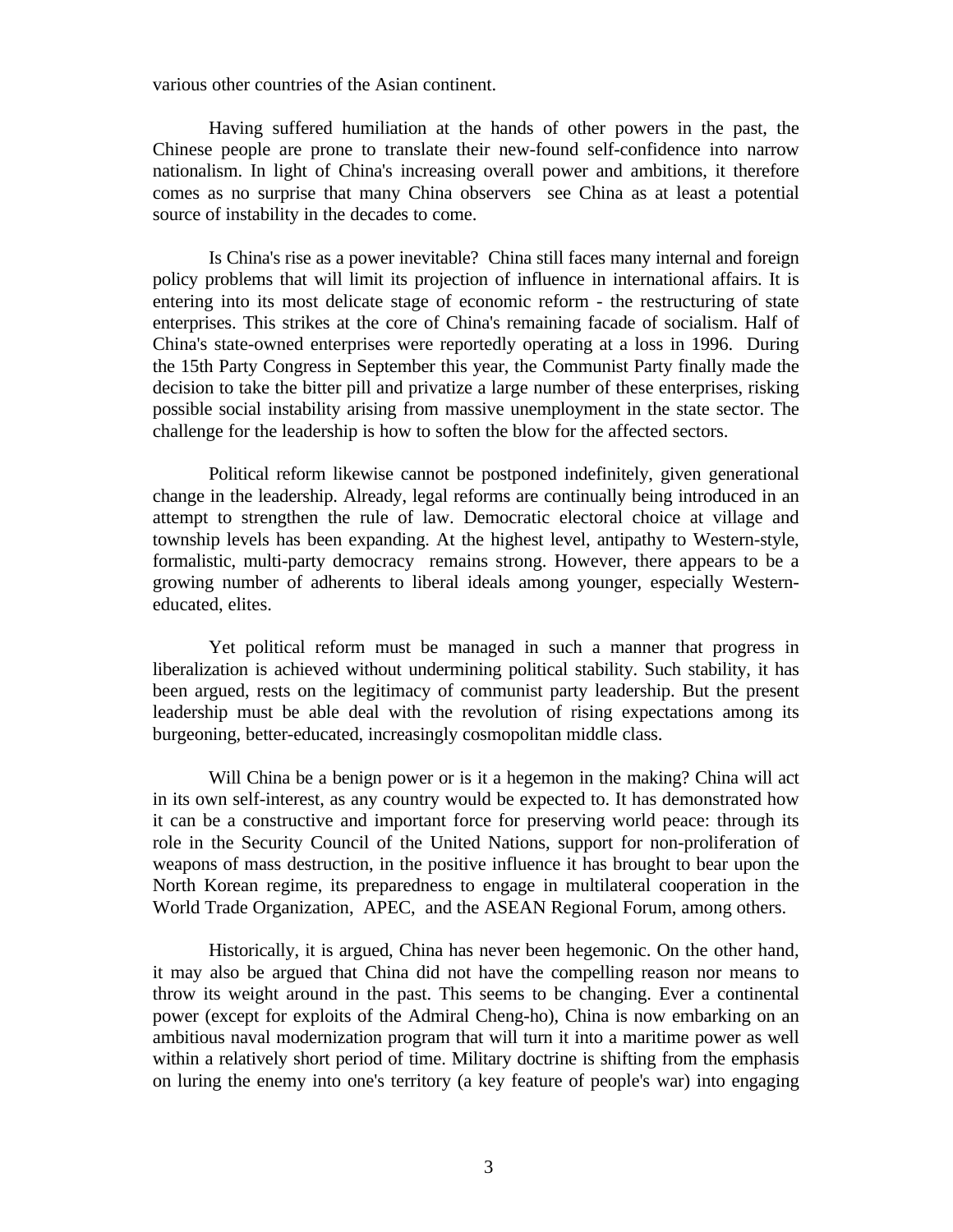various other countries of the Asian continent.

Having suffered humiliation at the hands of other powers in the past, the Chinese people are prone to translate their new-found self-confidence into narrow nationalism. In light of China's increasing overall power and ambitions, it therefore comes as no surprise that many China observers see China as at least a potential source of instability in the decades to come.

Is China's rise as a power inevitable? China still faces many internal and foreign policy problems that will limit its projection of influence in international affairs. It is entering into its most delicate stage of economic reform - the restructuring of state enterprises. This strikes at the core of China's remaining facade of socialism. Half of China's state-owned enterprises were reportedly operating at a loss in 1996. During the 15th Party Congress in September this year, the Communist Party finally made the decision to take the bitter pill and privatize a large number of these enterprises, risking possible social instability arising from massive unemployment in the state sector. The challenge for the leadership is how to soften the blow for the affected sectors.

Political reform likewise cannot be postponed indefinitely, given generational change in the leadership. Already, legal reforms are continually being introduced in an attempt to strengthen the rule of law. Democratic electoral choice at village and township levels has been expanding. At the highest level, antipathy to Western-style, formalistic, multi-party democracy remains strong. However, there appears to be a growing number of adherents to liberal ideals among younger, especially Westerneducated, elites.

Yet political reform must be managed in such a manner that progress in liberalization is achieved without undermining political stability. Such stability, it has been argued, rests on the legitimacy of communist party leadership. But the present leadership must be able deal with the revolution of rising expectations among its burgeoning, better-educated, increasingly cosmopolitan middle class.

Will China be a benign power or is it a hegemon in the making? China will act in its own self-interest, as any country would be expected to. It has demonstrated how it can be a constructive and important force for preserving world peace: through its role in the Security Council of the United Nations, support for non-proliferation of weapons of mass destruction, in the positive influence it has brought to bear upon the North Korean regime, its preparedness to engage in multilateral cooperation in the World Trade Organization, APEC, and the ASEAN Regional Forum, among others.

Historically, it is argued, China has never been hegemonic. On the other hand, it may also be argued that China did not have the compelling reason nor means to throw its weight around in the past. This seems to be changing. Ever a continental power (except for exploits of the Admiral Cheng-ho), China is now embarking on an ambitious naval modernization program that will turn it into a maritime power as well within a relatively short period of time. Military doctrine is shifting from the emphasis on luring the enemy into one's territory (a key feature of people's war) into engaging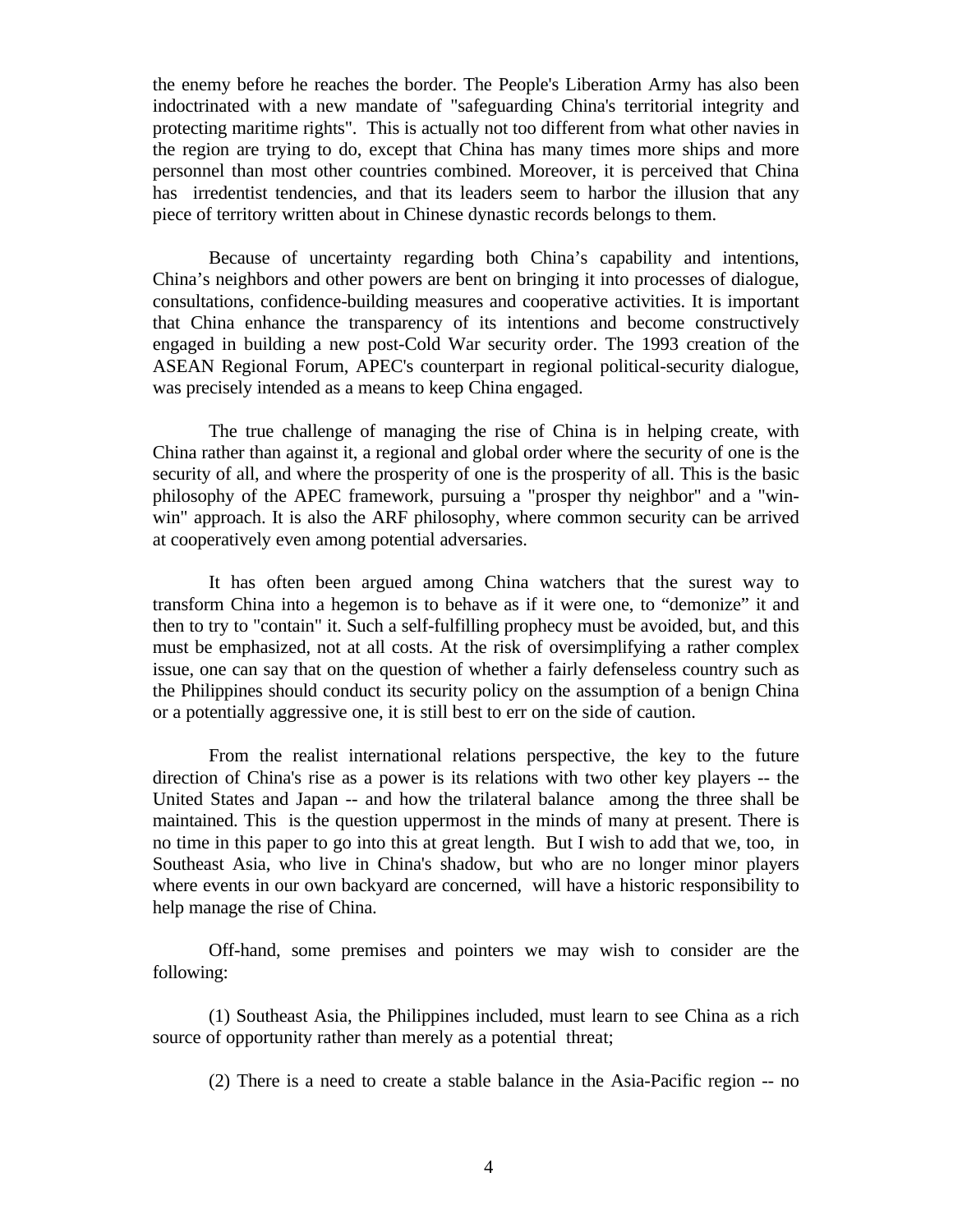the enemy before he reaches the border. The People's Liberation Army has also been indoctrinated with a new mandate of "safeguarding China's territorial integrity and protecting maritime rights". This is actually not too different from what other navies in the region are trying to do, except that China has many times more ships and more personnel than most other countries combined. Moreover, it is perceived that China has irredentist tendencies, and that its leaders seem to harbor the illusion that any piece of territory written about in Chinese dynastic records belongs to them.

Because of uncertainty regarding both China's capability and intentions, China's neighbors and other powers are bent on bringing it into processes of dialogue, consultations, confidence-building measures and cooperative activities. It is important that China enhance the transparency of its intentions and become constructively engaged in building a new post-Cold War security order. The 1993 creation of the ASEAN Regional Forum, APEC's counterpart in regional political-security dialogue, was precisely intended as a means to keep China engaged.

The true challenge of managing the rise of China is in helping create, with China rather than against it, a regional and global order where the security of one is the security of all, and where the prosperity of one is the prosperity of all. This is the basic philosophy of the APEC framework, pursuing a "prosper thy neighbor" and a "winwin" approach. It is also the ARF philosophy, where common security can be arrived at cooperatively even among potential adversaries.

It has often been argued among China watchers that the surest way to transform China into a hegemon is to behave as if it were one, to "demonize" it and then to try to "contain" it. Such a self-fulfilling prophecy must be avoided, but, and this must be emphasized, not at all costs. At the risk of oversimplifying a rather complex issue, one can say that on the question of whether a fairly defenseless country such as the Philippines should conduct its security policy on the assumption of a benign China or a potentially aggressive one, it is still best to err on the side of caution.

From the realist international relations perspective, the key to the future direction of China's rise as a power is its relations with two other key players -- the United States and Japan -- and how the trilateral balance among the three shall be maintained. This is the question uppermost in the minds of many at present. There is no time in this paper to go into this at great length. But I wish to add that we, too, in Southeast Asia, who live in China's shadow, but who are no longer minor players where events in our own backyard are concerned, will have a historic responsibility to help manage the rise of China.

Off-hand, some premises and pointers we may wish to consider are the following:

(1) Southeast Asia, the Philippines included, must learn to see China as a rich source of opportunity rather than merely as a potential threat;

(2) There is a need to create a stable balance in the Asia-Pacific region -- no